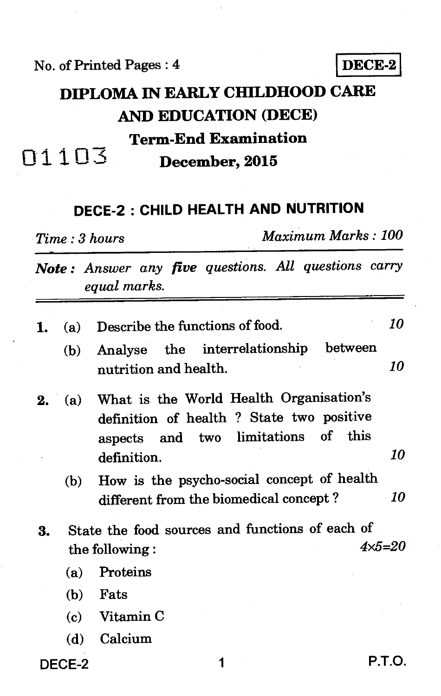No. of Printed Pages : 4 **DECE-2** 

# **DIPLOMA IN EARLY CHILDHOOD CARE AND EDUCATION (DECE) Term-End Examination**  n1103 **December, 2015**

### **DECE-2 : CHILD HEALTH AND NUTRITION**

*Time : 3 hours Maximum Marks : 100* 

*Note : Answer any five questions. All questions carry equal marks.* 

| 1. |     | (a) Describe the functions of food.                                                                                            | 10 |
|----|-----|--------------------------------------------------------------------------------------------------------------------------------|----|
|    | (b) | Analyse the interrelationship between<br>nutrition and health.                                                                 | 10 |
| 2. | (a) | What is the World Health Organisation's<br>definition of health ? State two positive<br>aspects and two limitations of<br>this |    |
|    |     | definition.                                                                                                                    | 10 |
|    | (b) | How is the psycho-social concept of health                                                                                     |    |
|    |     | different from the biomedical concept?                                                                                         | 10 |
| 3. |     | State the food sources and functions of each of                                                                                |    |
|    |     | $4 \times 5 = 20$<br>the following:                                                                                            |    |
|    | (a) | Proteins                                                                                                                       |    |
|    |     | $(b)$ Fats                                                                                                                     |    |
|    |     | $(c)$ Vitamin C                                                                                                                |    |
|    |     | (d) Calcium                                                                                                                    |    |

DECE-2 1 P.T.O.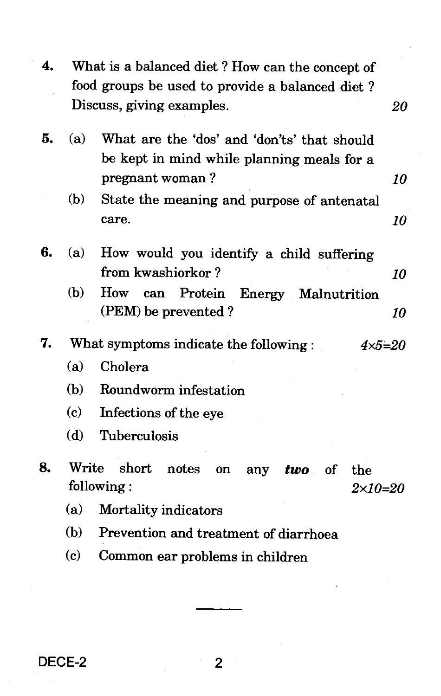| 4. |                             | What is a balanced diet? How can the concept of                                           |    |
|----|-----------------------------|-------------------------------------------------------------------------------------------|----|
|    |                             | food groups be used to provide a balanced diet?<br>Discuss, giving examples.              | 20 |
| 5. | (a)                         | What are the 'dos' and 'don'ts' that should<br>be kept in mind while planning meals for a |    |
|    |                             | pregnant woman?                                                                           | 10 |
|    | (b)                         | State the meaning and purpose of antenatal                                                |    |
|    |                             | care.                                                                                     | 10 |
| 6. | (a)                         | How would you identify a child suffering                                                  |    |
|    |                             | from kwashiorkor?                                                                         | 10 |
|    | (b)                         | How<br>can Protein Energy Malnutrition<br>(PEM) be prevented?                             | 10 |
| 7. |                             | What symptoms indicate the following:<br>$4 \times 5 = 20$                                |    |
|    | (a)                         | Cholera                                                                                   |    |
|    | (b)                         | Roundworm infestation                                                                     |    |
|    | $\left( \mathbf{c} \right)$ | Infections of the eye                                                                     |    |
|    | (d)                         | Tuberculosis                                                                              |    |
| 8. | Write                       | short<br>notes<br>on<br>any<br>two of<br>the<br>following:<br>$2 \times 10 = 20$          |    |
|    | (a)                         | Mortality indicators                                                                      |    |
|    | (b)                         | Prevention and treatment of diarrhoea                                                     |    |
|    | (c)                         | Common ear problems in children                                                           |    |
|    |                             |                                                                                           |    |

DECE-2

 $\overline{2}$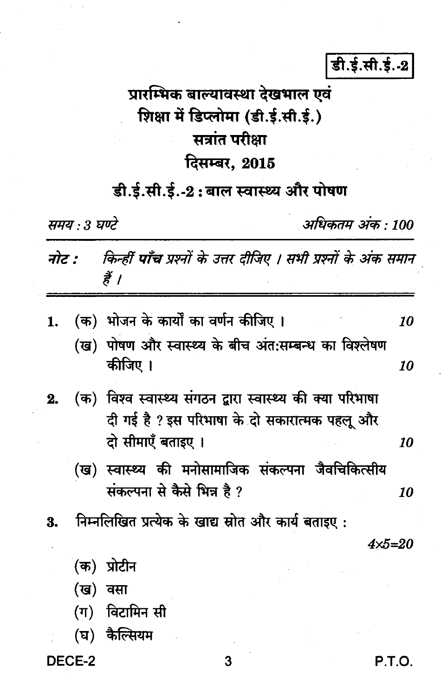डी.ई.सी.ई.-2

# प्रारम्भिक बाल्यावस्था देखभाल एवं शिक्षा में डिप्लोमा (डी.ई.सी.ई.) सत्रांत परीक्षा दिसम्बर, 2015

## डी.ई.सी.ई.-2: बाल स्वास्थ्य और पोषण

समय : 3 घण्टे

अधिकतम अंक : 100

| नोट :    किन्हीं पाँच प्रश्नों के उत्तर दीजिए । सभी प्रश्नों के अंक समान |  |
|--------------------------------------------------------------------------|--|
|                                                                          |  |

| 1. | (क)  भोजन के कार्यों का वर्णन कीजिए ।                                                                                            | 10 |
|----|----------------------------------------------------------------------------------------------------------------------------------|----|
|    | (ख) पोषण और स्वास्थ्य के बीच अंत:सम्बन्ध का विश्लेषण<br>कीजिए ।                                                                  | 10 |
|    | (क) विश्व स्वास्थ्य संगठन द्वारा स्वास्थ्य की क्या परिभाषा<br>दी गई है ? इस परिभाषा के दो सकारात्मक पहलू और<br>दो सीमाएँ बताइए । | 10 |
|    | (ख) स्वास्थ्य की मनोसामाजिक संकल्पना जैवचिकित्सीय<br>संकल्पना से कैसे भिन्न है ?                                                 | 10 |
| 3. | निम्नलिखित प्रत्येक के खाद्य स्रोत और कार्य बताइए:                                                                               |    |
|    | 4x5=2                                                                                                                            |    |

- (क) प्रोटीन
- (ख) वसा
- (ग) विटामिन सी
- (घ) कैल्सियम

DECE-2

P.T.O.

3